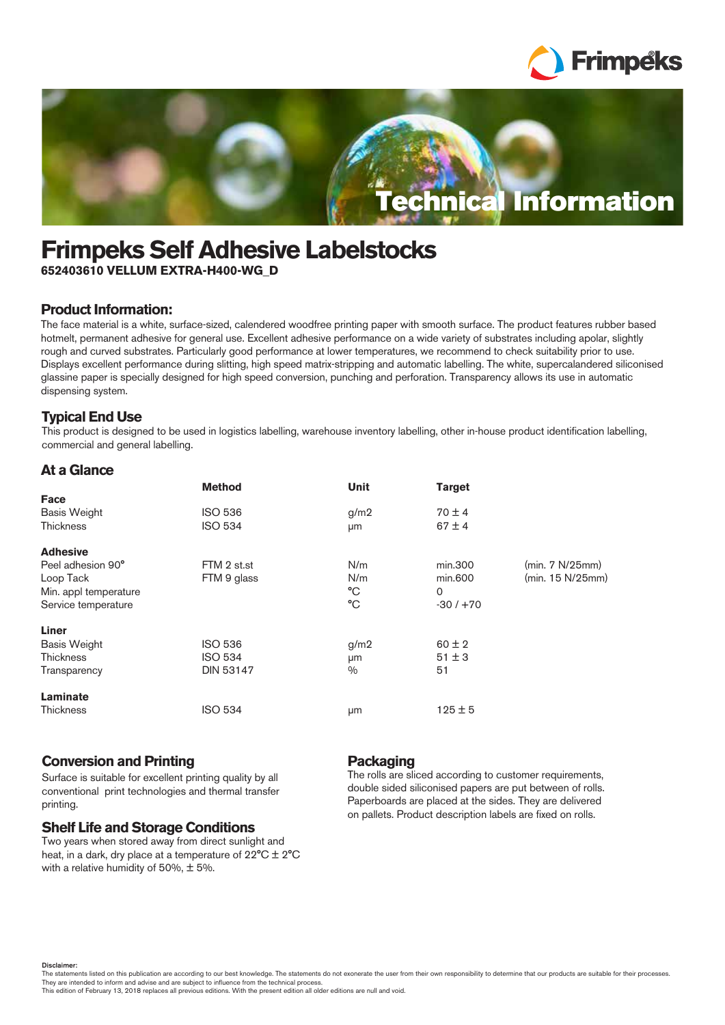



# **Frimpeks Self Adhesive Labelstocks**

**652403610 VELLUM EXTRA-H400-WG\_D**

# **Product Information:**

The face material is a white, surface-sized, calendered woodfree printing paper with smooth surface. The product features rubber based hotmelt, permanent adhesive for general use. Excellent adhesive performance on a wide variety of substrates including apolar, slightly rough and curved substrates. Particularly good performance at lower temperatures, we recommend to check suitability prior to use. Displays excellent performance during slitting, high speed matrix-stripping and automatic labelling. The white, supercalandered siliconised glassine paper is specially designed for high speed conversion, punching and perforation. Transparency allows its use in automatic dispensing system.

# **Typical End Use**

This product is designed to be used in logistics labelling, warehouse inventory labelling, other in-house product identification labelling, commercial and general labelling.

## **At a Glance**

|                       | <b>Method</b>    | Unit          | <b>Target</b> |                  |
|-----------------------|------------------|---------------|---------------|------------------|
| Face                  |                  |               |               |                  |
| <b>Basis Weight</b>   | <b>ISO 536</b>   | g/m2          | $70 \pm 4$    |                  |
| <b>Thickness</b>      | <b>ISO 534</b>   | μm            | $67 \pm 4$    |                  |
| <b>Adhesive</b>       |                  |               |               |                  |
| Peel adhesion 90°     | FTM 2 st.st      | N/m           | min.300       | (min. 7 N/25mm)  |
| Loop Tack             | FTM 9 glass      | N/m           | min.600       | (min. 15 N/25mm) |
| Min. appl temperature |                  | °C            | 0             |                  |
| Service temperature   |                  | °C            | $-30/ +70$    |                  |
| Liner                 |                  |               |               |                  |
| <b>Basis Weight</b>   | <b>ISO 536</b>   | g/m2          | $60 \pm 2$    |                  |
| <b>Thickness</b>      | <b>ISO 534</b>   | μm            | $51 \pm 3$    |                  |
| Transparency          | <b>DIN 53147</b> | $\frac{0}{0}$ | 51            |                  |
| Laminate              |                  |               |               |                  |
| Thickness             | <b>ISO 534</b>   | μm            | $125 \pm 5$   |                  |

## **Conversion and Printing**

Surface is suitable for excellent printing quality by all conventional print technologies and thermal transfer printing.

## **Shelf Life and Storage Conditions**

Two years when stored away from direct sunlight and heat, in a dark, dry place at a temperature of 22°C ± 2°C with a relative humidity of 50%,  $\pm$  5%.

# **Packaging**

The rolls are sliced according to customer requirements, double sided siliconised papers are put between of rolls. Paperboards are placed at the sides. They are delivered on pallets. Product description labels are fixed on rolls.

Disclaimer:

The statements listed on this publication are according to our best knowledge. The statements do not exonerate the user from their own responsibility to determine that our products are suitable for their processes. They are intended to inform and advise and are subject to influence from the technical process. This edition of February 13, 2018 replaces all previous editions. With the present edition all older editions are null and void.